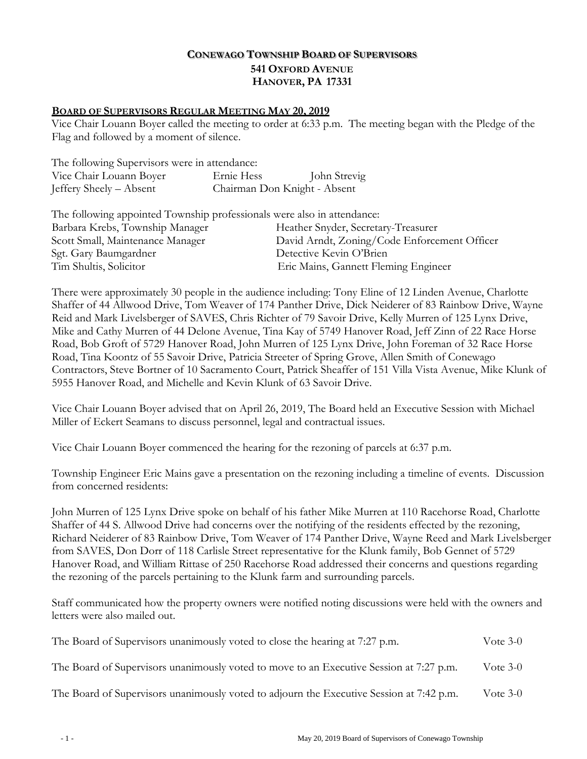# **CONEWAGO TOWNSHIP BOARD OF SUPERVISORS 541 OXFORD AVENUE HANOVER, PA 17331**

### **BOARD OF SUPERVISORS REGULAR MEETING MAY 20, 2019**

Vice Chair Louann Boyer called the meeting to order at 6:33 p.m. The meeting began with the Pledge of the Flag and followed by a moment of silence.

| The following Supervisors were in attendance: |                              |              |
|-----------------------------------------------|------------------------------|--------------|
| Vice Chair Louann Boyer                       | Ernie Hess                   | John Strevig |
| Jeffery Sheely – Absent                       | Chairman Don Knight - Absent |              |

| The following appointed Township professionals were also in attendance: |                                              |
|-------------------------------------------------------------------------|----------------------------------------------|
| Barbara Krebs, Township Manager                                         | Heather Snyder, Secretary-Treasurer          |
| Scott Small, Maintenance Manager                                        | David Arndt, Zoning/Code Enforcement Officer |
| Sgt. Gary Baumgardner                                                   | Detective Kevin O'Brien                      |
| Tim Shultis, Solicitor                                                  | Eric Mains, Gannett Fleming Engineer         |

There were approximately 30 people in the audience including: Tony Eline of 12 Linden Avenue, Charlotte Shaffer of 44 Allwood Drive, Tom Weaver of 174 Panther Drive, Dick Neiderer of 83 Rainbow Drive, Wayne Reid and Mark Livelsberger of SAVES, Chris Richter of 79 Savoir Drive, Kelly Murren of 125 Lynx Drive, Mike and Cathy Murren of 44 Delone Avenue, Tina Kay of 5749 Hanover Road, Jeff Zinn of 22 Race Horse Road, Bob Groft of 5729 Hanover Road, John Murren of 125 Lynx Drive, John Foreman of 32 Race Horse Road, Tina Koontz of 55 Savoir Drive, Patricia Streeter of Spring Grove, Allen Smith of Conewago Contractors, Steve Bortner of 10 Sacramento Court, Patrick Sheaffer of 151 Villa Vista Avenue, Mike Klunk of 5955 Hanover Road, and Michelle and Kevin Klunk of 63 Savoir Drive.

 Vice Chair Louann Boyer advised that on April 26, 2019, The Board held an Executive Session with Michael Miller of Eckert Seamans to discuss personnel, legal and contractual issues.

Vice Chair Louann Boyer commenced the hearing for the rezoning of parcels at 6:37 p.m.

 Township Engineer Eric Mains gave a presentation on the rezoning including a timeline of events. Discussion from concerned residents:

 John Murren of 125 Lynx Drive spoke on behalf of his father Mike Murren at 110 Racehorse Road, Charlotte Shaffer of 44 S. Allwood Drive had concerns over the notifying of the residents effected by the rezoning, Richard Neiderer of 83 Rainbow Drive, Tom Weaver of 174 Panther Drive, Wayne Reed and Mark Livelsberger from SAVES, Don Dorr of 118 Carlisle Street representative for the Klunk family, Bob Gennet of 5729 Hanover Road, and William Rittase of 250 Racehorse Road addressed their concerns and questions regarding the rezoning of the parcels pertaining to the Klunk farm and surrounding parcels.

Staff communicated how the property owners were notified noting discussions were held with the owners and letters were also mailed out.

| The Board of Supervisors unanimously voted to close the hearing at 7:27 p.m.             | Vote $3-0$ |
|------------------------------------------------------------------------------------------|------------|
| The Board of Supervisors unanimously voted to move to an Executive Session at 7:27 p.m.  | Vote $3-0$ |
| The Board of Supervisors unanimously voted to adjourn the Executive Session at 7:42 p.m. | Vote $3-0$ |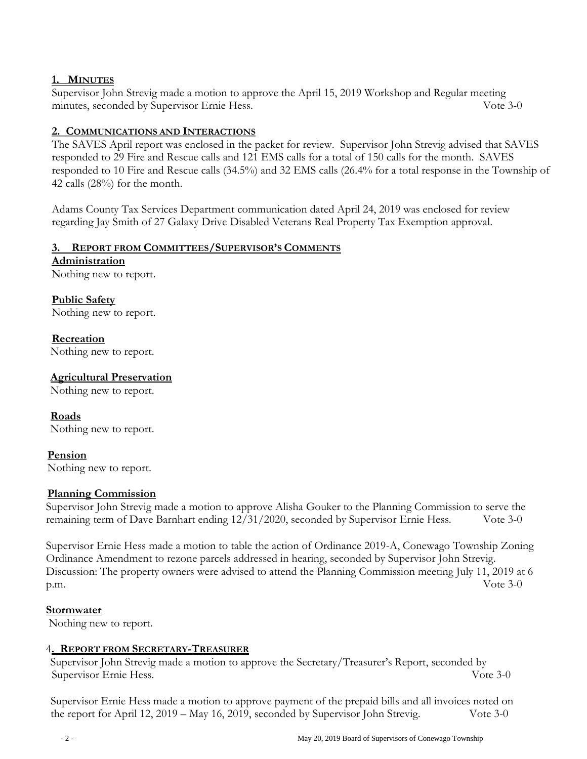## **1. MINUTES**

Supervisor John Strevig made a motion to approve the April 15, 2019 Workshop and Regular meeting minutes, seconded by Supervisor Ernie Hess. Vote 3-0

### **2. COMMUNICATIONS AND INTERACTIONS**

The SAVES April report was enclosed in the packet for review. Supervisor John Strevig advised that SAVES responded to 29 Fire and Rescue calls and 121 EMS calls for a total of 150 calls for the month. SAVES responded to 10 Fire and Rescue calls (34.5%) and 32 EMS calls (26.4% for a total response in the Township of 42 calls (28%) for the month.

Adams County Tax Services Department communication dated April 24, 2019 was enclosed for review regarding Jay Smith of 27 Galaxy Drive Disabled Veterans Real Property Tax Exemption approval.

#### **3. REPORT FROM COMMITTEES/SUPERVISOR'S COMMENTS**

**Administration**  Nothing new to report.

**Public Safety**  Nothing new to report.

**Recreation**  Nothing new to report.

### **Agricultural Preservation**

Nothing new to report.

**Roads** Nothing new to report.

# **Pension**

Nothing new to report.

#### **Planning Commission**

 Supervisor John Strevig made a motion to approve Alisha Gouker to the Planning Commission to serve the remaining term of Dave Barnhart ending 12/31/2020, seconded by Supervisor Ernie Hess. Vote 3-0

 Supervisor Ernie Hess made a motion to table the action of Ordinance 2019-A, Conewago Township Zoning Ordinance Amendment to rezone parcels addressed in hearing, seconded by Supervisor John Strevig. Discussion: The property owners were advised to attend the Planning Commission meeting July 11, 2019 at 6 p.m. Vote 3-0

#### **Stormwater**

Nothing new to report.

#### 4**. REPORT FROM SECRETARY-TREASURER**

Supervisor John Strevig made a motion to approve the Secretary/Treasurer's Report, seconded by Supervisor Ernie Hess. Vote 3-0

Supervisor Ernie Hess made a motion to approve payment of the prepaid bills and all invoices noted on the report for April 12, 2019 – May 16, 2019, seconded by Supervisor John Strevig. Vote 3-0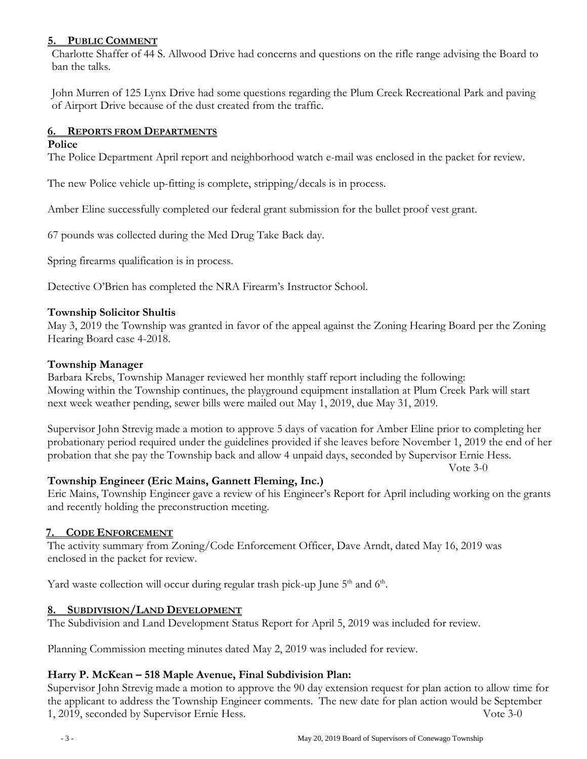## **5. PUBLIC COMMENT**

Charlotte Shaffer of 44 S. Allwood Drive had concerns and questions on the rifle range advising the Board to ban the talks.

John Murren of 125 Lynx Drive had some questions regarding the Plum Creek Recreational Park and paving of Airport Drive because of the dust created from the traffic.

## **6. REPORTS FROM DEPARTMENTS**

#### **Police**

The Police Department April report and neighborhood watch e-mail was enclosed in the packet for review.

The new Police vehicle up-fitting is complete, stripping/decals is in process.

Amber Eline successfully completed our federal grant submission for the bullet proof vest grant.

67 pounds was collected during the Med Drug Take Back day.

Spring firearms qualification is in process.

Detective O'Brien has completed the NRA Firearm's Instructor School.

### **Township Solicitor Shultis**

May 3, 2019 the Township was granted in favor of the appeal against the Zoning Hearing Board per the Zoning Hearing Board case 4-2018.

#### **Township Manager**

Barbara Krebs, Township Manager reviewed her monthly staff report including the following: Mowing within the Township continues, the playground equipment installation at Plum Creek Park will start next week weather pending, sewer bills were mailed out May 1, 2019, due May 31, 2019.

Supervisor John Strevig made a motion to approve 5 days of vacation for Amber Eline prior to completing her probationary period required under the guidelines provided if she leaves before November 1, 2019 the end of her probation that she pay the Township back and allow 4 unpaid days, seconded by Supervisor Ernie Hess.

Vote 3-0

# **Township Engineer (Eric Mains, Gannett Fleming, Inc.)**

Eric Mains, Township Engineer gave a review of his Engineer's Report for April including working on the grants and recently holding the preconstruction meeting.

# **7. CODE ENFORCEMENT**

The activity summary from Zoning/Code Enforcement Officer, Dave Arndt, dated May 16, 2019 was enclosed in the packet for review.

Yard waste collection will occur during regular trash pick-up June 5<sup>th</sup> and 6<sup>th</sup>.

# **8. SUBDIVISION/LAND DEVELOPMENT**

The Subdivision and Land Development Status Report for April 5, 2019 was included for review.

Planning Commission meeting minutes dated May 2, 2019 was included for review.

# **Harry P. McKean – 518 Maple Avenue, Final Subdivision Plan:**

Supervisor John Strevig made a motion to approve the 90 day extension request for plan action to allow time for the applicant to address the Township Engineer comments. The new date for plan action would be September 1, 2019, seconded by Supervisor Ernie Hess. Vote 3-0